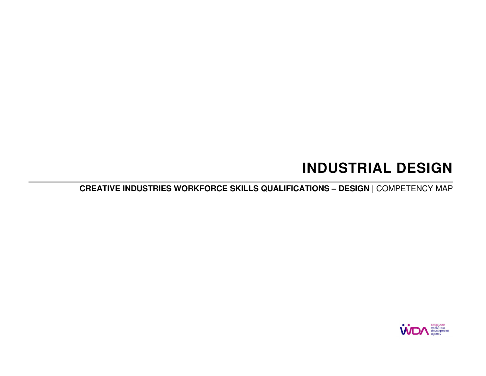# **INDUSTRIAL DESIGN**

**CREATIVE INDUSTRIES WORKFORCE SKILLS QUALIFICATIONS – DESIGN |** COMPETENCY MAP

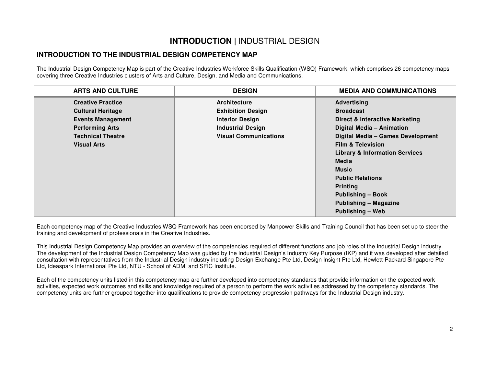## **INTRODUCTION |** INDUSTRIAL DESIGN

### **INTRODUCTION TO THE INDUSTRIAL DESIGN COMPETENCY MAP**

The Industrial Design Competency Map is part of the Creative Industries Workforce Skills Qualification (WSQ) Framework, which comprises 26 competency maps covering three Creative Industries clusters of Arts and Culture, Design, and Media and Communications.

| <b>ARTS AND CULTURE</b>  | <b>DESIGN</b>                | <b>MEDIA AND COMMUNICATIONS</b>           |
|--------------------------|------------------------------|-------------------------------------------|
| <b>Creative Practice</b> | <b>Architecture</b>          | <b>Advertising</b>                        |
| <b>Cultural Heritage</b> | <b>Exhibition Design</b>     | <b>Broadcast</b>                          |
| <b>Events Management</b> | <b>Interior Design</b>       | Direct & Interactive Marketing            |
| <b>Performing Arts</b>   | <b>Industrial Design</b>     | Digital Media - Animation                 |
| <b>Technical Theatre</b> | <b>Visual Communications</b> | Digital Media - Games Development         |
| <b>Visual Arts</b>       |                              | <b>Film &amp; Television</b>              |
|                          |                              | <b>Library &amp; Information Services</b> |
|                          |                              | <b>Media</b>                              |
|                          |                              | <b>Music</b>                              |
|                          |                              | <b>Public Relations</b>                   |
|                          |                              | <b>Printing</b>                           |
|                          |                              | <b>Publishing - Book</b>                  |
|                          |                              | <b>Publishing - Magazine</b>              |
|                          |                              | Publishing - Web                          |

Each competency map of the Creative Industries WSQ Framework has been endorsed by Manpower Skills and Training Council that has been set up to steer the training and development of professionals in the Creative Industries.

This Industrial Design Competency Map provides an overview of the competencies required of different functions and job roles of the Industrial Design industry. The development of the Industrial Design Competency Map was guided by the Industrial Design's Industry Key Purpose (IKP) and it was developed after detailed consultation with representatives from the Industrial Design industry including Design Exchange Pte Ltd, Design Insight Pte Ltd, Hewlett-Packard Singapore Pte Ltd, Ideaspark International Pte Ltd, NTU - School of ADM, and SFIC Institute.

Each of the competency units listed in this competency map are further developed into competency standards that provide information on the expected work activities, expected work outcomes and skills and knowledge required of a person to perform the work activities addressed by the competency standards. The competency units are further grouped together into qualifications to provide competency progression pathways for the Industrial Design industry.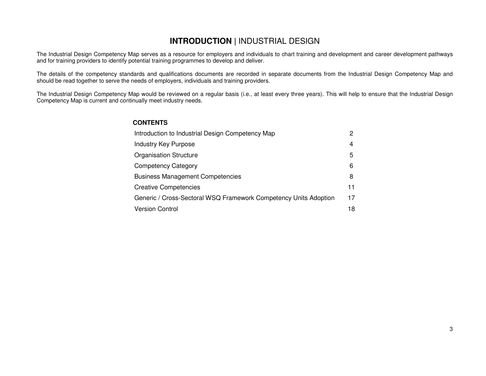## **INTRODUCTION |** INDUSTRIAL DESIGN

The Industrial Design Competency Map serves as a resource for employers and individuals to chart training and development and career development pathwaysand for training providers to identify potential training programmes to develop and deliver.

The details of the competency standards and qualifications documents are recorded in separate documents from the Industrial Design Competency Map and should be read together to serve the needs of employers, individuals and training providers.

The Industrial Design Competency Map would be reviewed on a regular basis (i.e., at least every three years). This will help to ensure that the Industrial Design Competency Map is current and continually meet industry needs.

### **CONTENTS**

| Introduction to Industrial Design Competency Map                 | 2  |
|------------------------------------------------------------------|----|
| <b>Industry Key Purpose</b>                                      | 4  |
| <b>Organisation Structure</b>                                    | 5  |
| <b>Competency Category</b>                                       | 6  |
| <b>Business Management Competencies</b>                          | 8  |
| <b>Creative Competencies</b>                                     | 11 |
| Generic / Cross-Sectoral WSQ Framework Competency Units Adoption | 17 |
| <b>Version Control</b>                                           | 18 |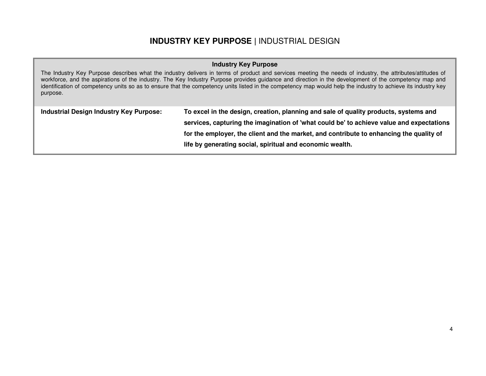## **INDUSTRY KEY PURPOSE |** INDUSTRIAL DESIGN

### **Industry Key Purpose**

The Industry Key Purpose describes what the industry delivers in terms of product and services meeting the needs of industry, the attributes/attitudes of workforce, and the aspirations of the industry. The Key Industry Purpose provides guidance and direction in the development of the competency map and identification of competency units so as to ensure that the competency units listed in the competency map would help the industry to achieve its industry key purpose.

| <b>Industrial Design Industry Key Purpose:</b> | To excel in the design, creation, planning and sale of quality products, systems and     |
|------------------------------------------------|------------------------------------------------------------------------------------------|
|                                                | services, capturing the imagination of 'what could be' to achieve value and expectations |
|                                                | for the employer, the client and the market, and contribute to enhancing the quality of  |
|                                                | life by generating social, spiritual and economic wealth.                                |
|                                                |                                                                                          |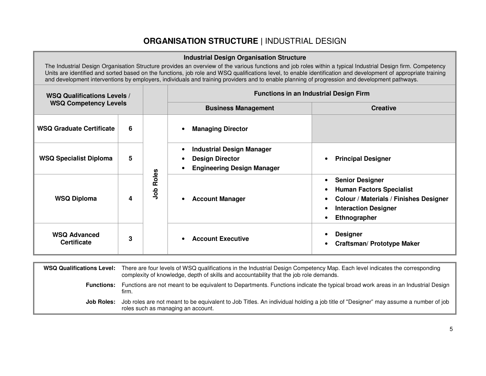## **ORGANISATION STRUCTURE |** INDUSTRIAL DESIGN

| <b>Industrial Design Organisation Structure</b> |   |              |                                                                                                                                                |                                                                                                                                                                                                                                                                                                                                 |  |  |
|-------------------------------------------------|---|--------------|------------------------------------------------------------------------------------------------------------------------------------------------|---------------------------------------------------------------------------------------------------------------------------------------------------------------------------------------------------------------------------------------------------------------------------------------------------------------------------------|--|--|
|                                                 |   |              | and development interventions by employers, individuals and training providers and to enable planning of progression and development pathways. | The Industrial Design Organisation Structure provides an overview of the various functions and job roles within a typical Industrial Design firm. Competency<br>Units are identified and sorted based on the functions, job role and WSQ qualifications level, to enable identification and development of appropriate training |  |  |
| <b>WSQ Qualifications Levels /</b>              |   |              | <b>Functions in an Industrial Design Firm</b>                                                                                                  |                                                                                                                                                                                                                                                                                                                                 |  |  |
| <b>WSQ Competency Levels</b>                    |   |              | <b>Business Management</b><br><b>Creative</b>                                                                                                  |                                                                                                                                                                                                                                                                                                                                 |  |  |
| <b>WSQ Graduate Certificate</b>                 | 6 |              | <b>Managing Director</b>                                                                                                                       |                                                                                                                                                                                                                                                                                                                                 |  |  |
| <b>WSQ Specialist Diploma</b>                   | 5 | Roles<br>aoL | <b>Industrial Design Manager</b><br>$\bullet$<br><b>Design Director</b><br>٠<br><b>Engineering Design Manager</b><br>$\bullet$                 | <b>Principal Designer</b>                                                                                                                                                                                                                                                                                                       |  |  |
| <b>WSQ Diploma</b>                              | 4 |              | <b>Account Manager</b>                                                                                                                         | <b>Senior Designer</b><br>$\bullet$<br><b>Human Factors Specialist</b><br><b>Colour / Materials / Finishes Designer</b><br><b>Interaction Designer</b><br>Ethnographer                                                                                                                                                          |  |  |
| <b>WSQ Advanced</b><br><b>Certificate</b>       | 3 |              | <b>Account Executive</b>                                                                                                                       | <b>Designer</b><br><b>Craftsman/ Prototype Maker</b>                                                                                                                                                                                                                                                                            |  |  |

### **WSQ Qualifications Level:** There are four levels of WSQ qualifications in the Industrial Design Competency Map. Each level indicates the corresponding complexity of knowledge, depth of skills and accountability that the job role demands. **Functions:** Functions are not meant to be equivalent to Departments. Functions indicate the typical broad work areas in an Industrial Design firm. **Job Roles:** Job roles are not meant to be equivalent to Job Titles. An individual holding a job title of "Designer" may assume a number of job roles such as managing an account.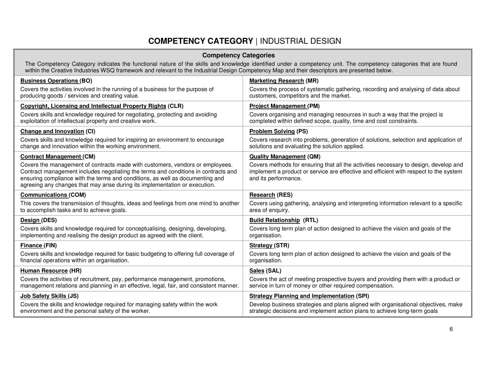## **COMPETENCY CATEGORY** | INDUSTRIAL DESIGN

| <b>Competency Categories</b> |  |  |  |  |
|------------------------------|--|--|--|--|
|------------------------------|--|--|--|--|

The Competency Category indicates the functional nature of the skills and knowledge identified under a competency unit. The competency categories that are found<br>within the Creative Industries WSQ framework and relevant to

| <b>Business Operations (BO)</b>                                                                                                                                                                                                                                                                                                     | <b>Marketing Research (MR)</b>                                                                                                                                                                        |
|-------------------------------------------------------------------------------------------------------------------------------------------------------------------------------------------------------------------------------------------------------------------------------------------------------------------------------------|-------------------------------------------------------------------------------------------------------------------------------------------------------------------------------------------------------|
| Covers the activities involved in the running of a business for the purpose of<br>producing goods / services and creating value.                                                                                                                                                                                                    | Covers the process of systematic gathering, recording and analysing of data about<br>customers, competitors and the market.                                                                           |
| <b>Copyright, Licensing and Intellectual Property Rights (CLR)</b>                                                                                                                                                                                                                                                                  | <b>Project Management (PM)</b>                                                                                                                                                                        |
| Covers skills and knowledge required for negotiating, protecting and avoiding<br>exploitation of intellectual property and creative work.                                                                                                                                                                                           | Covers organising and managing resources in such a way that the project is<br>completed within defined scope, quality, time and cost constraints.                                                     |
| Change and Innovation (CI)                                                                                                                                                                                                                                                                                                          | <b>Problem Solving (PS)</b>                                                                                                                                                                           |
| Covers skills and knowledge required for inspiring an environment to encourage<br>change and innovation within the working environment.                                                                                                                                                                                             | Covers research into problems, generation of solutions, selection and application of<br>solutions and evaluating the solution applied.                                                                |
| <b>Contract Management (CM)</b>                                                                                                                                                                                                                                                                                                     | <b>Quality Management (QM)</b>                                                                                                                                                                        |
| Covers the management of contracts made with customers, vendors or employees.<br>Contract management includes negotiating the terms and conditions in contracts and<br>ensuring compliance with the terms and conditions, as well as documenting and<br>agreeing any changes that may arise during its implementation or execution. | Covers methods for ensuring that all the activities necessary to design, develop and<br>implement a product or service are effective and efficient with respect to the system<br>and its performance. |
| <b>Communications (COM)</b>                                                                                                                                                                                                                                                                                                         | <b>Research (RES)</b>                                                                                                                                                                                 |
| This covers the transmission of thoughts, ideas and feelings from one mind to another<br>to accomplish tasks and to achieve goals.                                                                                                                                                                                                  | Covers using gathering, analysing and interpreting information relevant to a specific<br>area of enquiry.                                                                                             |
| Design (DES)                                                                                                                                                                                                                                                                                                                        | <b>Build Relationship (RTL)</b>                                                                                                                                                                       |
| Covers skills and knowledge required for conceptualising, designing, developing,<br>implementing and realising the design product as agreed with the client.                                                                                                                                                                        | Covers long term plan of action designed to achieve the vision and goals of the<br>organisation.                                                                                                      |
| Finance (FIN)                                                                                                                                                                                                                                                                                                                       | Strategy (STR)                                                                                                                                                                                        |
| Covers skills and knowledge required for basic budgeting to offering full coverage of<br>financial operations within an organisation.                                                                                                                                                                                               | Covers long term plan of action designed to achieve the vision and goals of the<br>organisation.                                                                                                      |
| <b>Human Resource (HR)</b>                                                                                                                                                                                                                                                                                                          | Sales (SAL)                                                                                                                                                                                           |
| Covers the activities of recruitment, pay, performance management, promotions,<br>management relations and planning in an effective, legal, fair, and consistent manner.                                                                                                                                                            | Covers the act of meeting prospective buyers and providing them with a product or<br>service in turn of money or other required compensation.                                                         |
| <b>Job Safety Skills (JS)</b>                                                                                                                                                                                                                                                                                                       | <b>Strategy Planning and Implementation (SPI)</b>                                                                                                                                                     |
| Covers the skills and knowledge required for managing safety within the work<br>environment and the personal safety of the worker.                                                                                                                                                                                                  | Develop business strategies and plans aligned with organisational objectives, make<br>strategic decisions and implement action plans to achieve long-term goals                                       |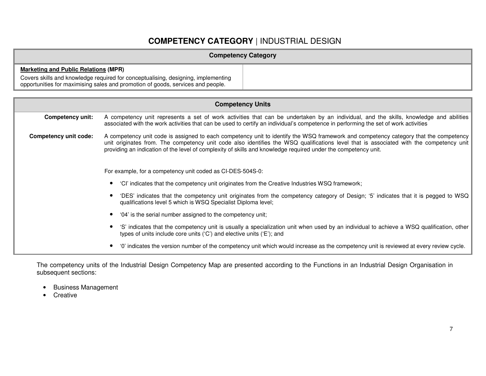## **COMPETENCY CATEGORY** | INDUSTRIAL DESIGN

| <b>Competency Category</b>                                                                                                                                           |
|----------------------------------------------------------------------------------------------------------------------------------------------------------------------|
| <b>Marketing and Public Relations (MPR)</b>                                                                                                                          |
| Covers skills and knowledge required for conceptualising, designing, implementing<br>opportunities for maximising sales and promotion of goods, services and people. |

| <b>Competency Units</b>                                                                                                                                                                             |                                                                                                                                                                                                                                                                                                                                                                                                   |  |  |  |  |
|-----------------------------------------------------------------------------------------------------------------------------------------------------------------------------------------------------|---------------------------------------------------------------------------------------------------------------------------------------------------------------------------------------------------------------------------------------------------------------------------------------------------------------------------------------------------------------------------------------------------|--|--|--|--|
| Competency unit:                                                                                                                                                                                    | A competency unit represents a set of work activities that can be undertaken by an individual, and the skills, knowledge and abilities<br>associated with the work activities that can be used to certify an individual's competence in performing the set of work activities                                                                                                                     |  |  |  |  |
| <b>Competency unit code:</b>                                                                                                                                                                        | A competency unit code is assigned to each competency unit to identify the WSQ framework and competency category that the competency<br>unit originates from. The competency unit code also identifies the WSQ qualifications level that is associated with the competency unit<br>providing an indication of the level of complexity of skills and knowledge required under the competency unit. |  |  |  |  |
| For example, for a competency unit coded as CI-DES-504S-0:                                                                                                                                          |                                                                                                                                                                                                                                                                                                                                                                                                   |  |  |  |  |
| 'Cl' indicates that the competency unit originates from the Creative Industries WSQ framework;                                                                                                      |                                                                                                                                                                                                                                                                                                                                                                                                   |  |  |  |  |
| 'DES' indicates that the competency unit originates from the competency category of Design; '5' indicates that it is pegged to WSQ<br>qualifications level 5 which is WSQ Specialist Diploma level; |                                                                                                                                                                                                                                                                                                                                                                                                   |  |  |  |  |
|                                                                                                                                                                                                     | '04' is the serial number assigned to the competency unit;                                                                                                                                                                                                                                                                                                                                        |  |  |  |  |
|                                                                                                                                                                                                     | 'S' indicates that the competency unit is usually a specialization unit when used by an individual to achieve a WSQ qualification, other<br>types of units include core units ('C') and elective units ('E'); and                                                                                                                                                                                 |  |  |  |  |
|                                                                                                                                                                                                     | '0' indicates the version number of the competency unit which would increase as the competency unit is reviewed at every review cycle.                                                                                                                                                                                                                                                            |  |  |  |  |

The competency units of the Industrial Design Competency Map are presented according to the Functions in an Industrial Design Organisation in subsequent sections:

- Business Management
- Creative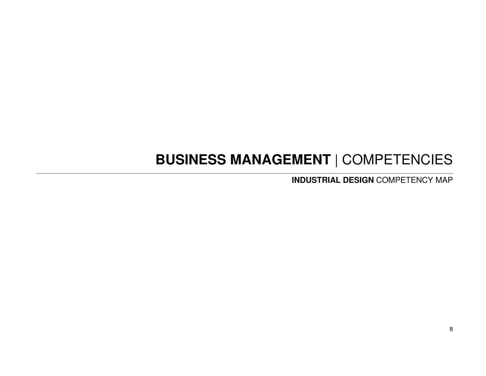# **BUSINESS MANAGEMENT** | COMPETENCIES

**INDUSTRIAL DESIGN** COMPETENCY MAP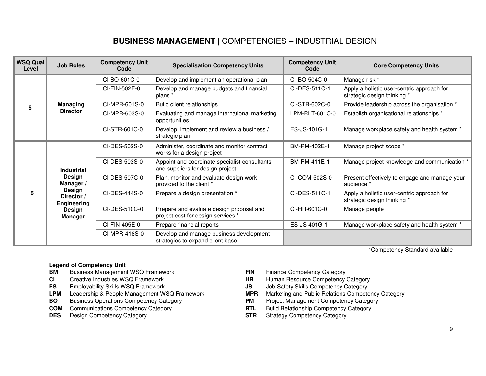## **BUSINESS MANAGEMENT** | COMPETENCIES – INDUSTRIAL DESIGN

| <b>WSQ Qual</b><br>Level | <b>Job Roles</b>                                                                                            | <b>Competency Unit</b><br>Code | <b>Specialisation Competency Units</b>                                            | <b>Competency Unit</b><br>Code | <b>Core Competency Units</b>                                              |
|--------------------------|-------------------------------------------------------------------------------------------------------------|--------------------------------|-----------------------------------------------------------------------------------|--------------------------------|---------------------------------------------------------------------------|
|                          |                                                                                                             | CI-BO-601C-0                   | Develop and implement an operational plan                                         | CI-BO-504C-0                   | Manage risk *                                                             |
|                          |                                                                                                             | CI-FIN-502E-0                  | Develop and manage budgets and financial<br>plans *                               | CI-DES-511C-1                  | Apply a holistic user-centric approach for<br>strategic design thinking * |
| 6                        | <b>Managing</b>                                                                                             | CI-MPR-601S-0                  | Build client relationships                                                        | CI-STR-602C-0                  | Provide leadership across the organisation *                              |
|                          | <b>Director</b>                                                                                             | CI-MPR-603S-0                  | Evaluating and manage international marketing<br>opportunities                    | LPM-RLT-601C-0                 | Establish organisational relationships *                                  |
|                          |                                                                                                             | CI-STR-601C-0                  | Develop, implement and review a business /<br>strategic plan                      | ES-JS-401G-1                   | Manage workplace safety and health system *                               |
| 5                        | <b>Industrial</b><br>Design<br>Manager /<br>Design<br>Director /<br><b>Engineering</b><br>Design<br>Manager | CI-DES-502S-0                  | Administer, coordinate and monitor contract<br>works for a design project         | BM-PM-402E-1                   | Manage project scope *                                                    |
|                          |                                                                                                             | CI-DES-503S-0                  | Appoint and coordinate specialist consultants<br>and suppliers for design project | BM-PM-411E-1                   | Manage project knowledge and communication *                              |
|                          |                                                                                                             | CI-DES-507C-0                  | Plan, monitor and evaluate design work<br>provided to the client *                | CI-COM-502S-0                  | Present effectively to engage and manage your<br>audience *               |
|                          |                                                                                                             | CI-DES-444S-0                  | Prepare a design presentation *                                                   | CI-DES-511C-1                  | Apply a holistic user-centric approach for<br>strategic design thinking * |
|                          |                                                                                                             | CI-DES-510C-0                  | Prepare and evaluate design proposal and<br>project cost for design services *    | CI-HR-601C-0                   | Manage people                                                             |
|                          |                                                                                                             | CI-FIN-405E-0                  | Prepare financial reports                                                         | ES-JS-401G-1                   | Manage workplace safety and health system *                               |
|                          |                                                                                                             | CI-MPR-418S-0                  | Develop and manage business development<br>strategies to expand client base       |                                |                                                                           |

\*Competency Standard available

#### **Legend of Competency Unit**

- **BM** Business Management WSQ Framework **FIN** Finance Competency Category
- 
- 
- 
- **BO** Business Operations Competency Category **PM** Project Management Competency Category
- **COM** Communications Competency Category **RTL** Build Relationship Competency Category
- 
- 
- **CI** Creative Industries WSQ Framework **HR** Human Resource Competency Category
- **ES** Employability Skills WSQ Framework **JS** Job Safety Skills Competency Category
- **LPM** Leadership & People Management WSQ Framework **MPR** Marketing and Public Relations Competency Category
	-
	-
- **DES** Design Competency Category **STR** Strategy Competency Category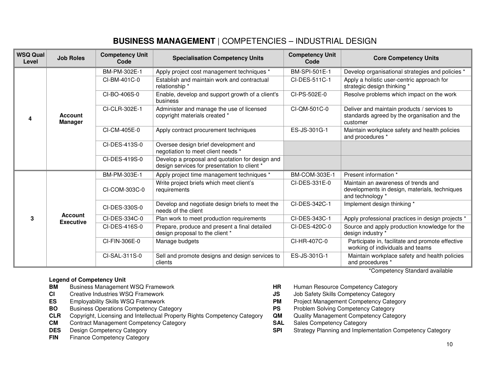| <b>WSQ Qual</b><br>Level | <b>Job Roles</b>                   | <b>Competency Unit</b><br>Code | <b>Specialisation Competency Units</b>                                                          | <b>Competency Unit</b><br>Code | <b>Core Competency Units</b>                                                                             |
|--------------------------|------------------------------------|--------------------------------|-------------------------------------------------------------------------------------------------|--------------------------------|----------------------------------------------------------------------------------------------------------|
|                          |                                    | BM-PM-302E-1                   | Apply project cost management techniques *                                                      | BM-SPI-501E-1                  | Develop organisational strategies and policies *                                                         |
|                          |                                    | CI-BM-401C-0                   | Establish and maintain work and contractual<br>relationship *                                   | CI-DES-511C-1                  | Apply a holistic user-centric approach for<br>strategic design thinking *                                |
| 4                        |                                    | CI-BO-406S-0                   | Enable, develop and support growth of a client's<br>business                                    | CI-PS-502E-0                   | Resolve problems which impact on the work                                                                |
|                          | <b>Account</b><br><b>Manager</b>   | CI-CLR-302E-1                  | Administer and manage the use of licensed<br>copyright materials created *                      | CI-QM-501C-0                   | Deliver and maintain products / services to<br>standards agreed by the organisation and the<br>customer  |
|                          |                                    | CI-CM-405E-0                   | Apply contract procurement techniques                                                           | ES-JS-301G-1                   | Maintain workplace safety and health policies<br>and procedures *                                        |
|                          |                                    | CI-DES-413S-0                  | Oversee design brief development and<br>negotiation to meet client needs *                      |                                |                                                                                                          |
|                          |                                    | CI-DES-419S-0                  | Develop a proposal and quotation for design and<br>design services for presentation to client * |                                |                                                                                                          |
|                          |                                    | BM-PM-303E-1                   | Apply project time management techniques *                                                      | BM-COM-303E-1                  | Present information *                                                                                    |
|                          |                                    | CI-COM-303C-0                  | Write project briefs which meet client's<br>requirements                                        | CI-DES-331E-0                  | Maintain an awareness of trends and<br>developments in design, materials, techniques<br>and technology * |
|                          |                                    | CI-DES-330S-0                  | Develop and negotiate design briefs to meet the<br>needs of the client                          | CI-DES-342C-1                  | Implement design thinking *                                                                              |
| 3                        | <b>Account</b><br><b>Executive</b> | CI-DES-334C-0                  | Plan work to meet production requirements                                                       | CI-DES-343C-1                  | Apply professional practices in design projects *                                                        |
|                          |                                    | CI-DES-416S-0                  | Prepare, produce and present a final detailed<br>design proposal to the client *                | CI-DES-420C-0                  | Source and apply production knowledge for the<br>design industry *                                       |
|                          |                                    | CI-FIN-306E-0                  | Manage budgets                                                                                  | CI-HR-407C-0                   | Participate in, facilitate and promote effective<br>working of individuals and teams                     |
|                          |                                    | CI-SAL-311S-0                  | Sell and promote designs and design services to<br>clients                                      | ES-JS-301G-1                   | Maintain workplace safety and health policies<br>and procedures *                                        |

## **BUSINESS MANAGEMENT** | COMPETENCIES – INDUSTRIAL DESIGN

#### **Legend of Competency Unit**

- **BM** Business Management WSQ Framework **HR** Human Resource Competency Category
- 
- 
- **BO** Business Operations Competency Category **PS** Problem Solving Competency Category
- **CLR** Copyright, Licensing and Intellectual Property Rights Competency Category **QM**
- **CM** Contract Management Competency Category **SAL** Sales Competency Category
- 
- **FIN** Finance Competency Category

\*Competency Standard available

- 
- **CI** Creative Industries WSQ Framework **JS** Job Safety Skills Competency Category
- **ES** Employability Skills WSQ Framework **PM** Project Management Competency Category
	-
	- Quality Management Competency Category
	-
- **DES** Design Competency Category **SPI** Strategy Planning and Implementation Competency Category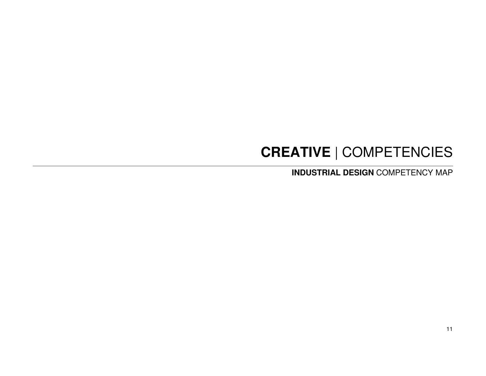# **CREATIVE** | COMPETENCIES

**INDUSTRIAL DESIGN** COMPETENCY MAP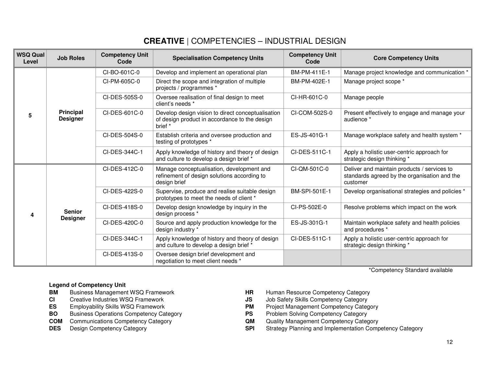| <b>WSQ Qual</b><br>Level | <b>Job Roles</b>                    | <b>Competency Unit</b><br>Code | <b>Specialisation Competency Units</b>                                                                        | <b>Competency Unit</b><br>Code | <b>Core Competency Units</b>                                                                            |
|--------------------------|-------------------------------------|--------------------------------|---------------------------------------------------------------------------------------------------------------|--------------------------------|---------------------------------------------------------------------------------------------------------|
|                          |                                     | CI-BO-601C-0                   | Develop and implement an operational plan                                                                     | BM-PM-411E-1                   | Manage project knowledge and communication *                                                            |
|                          |                                     | CI-PM-605C-0                   | Direct the scope and integration of multiple<br>projects / programmes *                                       | BM-PM-402E-1                   | Manage project scope *                                                                                  |
|                          |                                     | CI-DES-505S-0                  | Oversee realisation of final design to meet<br>client's needs *                                               | CI-HR-601C-0                   | Manage people                                                                                           |
| 5                        | <b>Principal</b><br><b>Designer</b> | CI-DES-601C-0                  | Develop design vision to direct conceptualisation<br>of design product in accordance to the design<br>brief * | CI-COM-502S-0                  | Present effectively to engage and manage your<br>audience *                                             |
|                          |                                     | CI-DES-504S-0                  | Establish criteria and oversee production and<br>testing of prototypes *                                      | ES-JS-401G-1                   | Manage workplace safety and health system *                                                             |
|                          |                                     | CI-DES-344C-1                  | Apply knowledge of history and theory of design<br>and culture to develop a design brief *                    | CI-DES-511C-1                  | Apply a holistic user-centric approach for<br>strategic design thinking *                               |
|                          | <b>Senior</b>                       | CI-DES-412C-0                  | Manage conceptualisation, development and<br>refinement of design solutions according to<br>design brief      | CI-QM-501C-0                   | Deliver and maintain products / services to<br>standards agreed by the organisation and the<br>customer |
|                          |                                     | CI-DES-422S-0                  | Supervise, produce and realise suitable design<br>prototypes to meet the needs of client *                    | BM-SPI-501E-1                  | Develop organisational strategies and policies *                                                        |
| 4                        |                                     | CI-DES-418S-0                  | Develop design knowledge by inquiry in the<br>design process *                                                | CI-PS-502E-0                   | Resolve problems which impact on the work                                                               |
|                          | <b>Designer</b>                     | CI-DES-420C-0                  | Source and apply production knowledge for the<br>design industry *                                            | ES-JS-301G-1                   | Maintain workplace safety and health policies<br>and procedures *                                       |
|                          |                                     | CI-DES-344C-1                  | Apply knowledge of history and theory of design<br>and culture to develop a design brief *                    | CI-DES-511C-1                  | Apply a holistic user-centric approach for<br>strategic design thinking *                               |
|                          |                                     | CI-DES-413S-0                  | Oversee design brief development and<br>negotiation to meet client needs *                                    |                                |                                                                                                         |

\*Competency Standard available

### **Legend of Competency Unit**

- **BM** Business Management WSQ Framework **HR** Human Resource Competency Category
- 
- 
- **BO** Business Operations Competency Category **PS** Problem Solving Competency Category
- **COM** Communications Competency Category **QM** QM
- 
- 
- **CI** Creative Industries WSQ Framework **JS** Job Safety Skills Competency Category
- **ES** Employability Skills WSQ Framework **PM** Project Management Competency Category
	-
	- Quality Management Competency Category
- **DES** Design Competency Category **SPI** Strategy Planning and Implementation Competency Category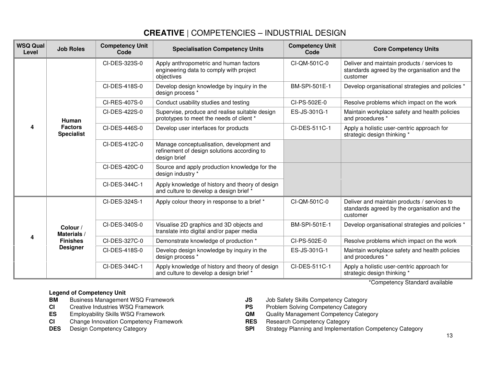| <b>WSQ Qual</b><br>Level | <b>Job Roles</b>                    | <b>Competency Unit</b><br>Code | <b>Specialisation Competency Units</b>                                                                   | <b>Competency Unit</b><br>Code | <b>Core Competency Units</b>                                                                            |
|--------------------------|-------------------------------------|--------------------------------|----------------------------------------------------------------------------------------------------------|--------------------------------|---------------------------------------------------------------------------------------------------------|
|                          |                                     | CI-DES-323S-0                  | Apply anthropometric and human factors<br>engineering data to comply with project<br>objectives          | CI-QM-501C-0                   | Deliver and maintain products / services to<br>standards agreed by the organisation and the<br>customer |
|                          |                                     | CI-DES-418S-0                  | Develop design knowledge by inquiry in the<br>design process *                                           | BM-SPI-501E-1                  | Develop organisational strategies and policies *                                                        |
|                          |                                     | CI-RES-407S-0                  | Conduct usability studies and testing                                                                    | CI-PS-502E-0                   | Resolve problems which impact on the work                                                               |
|                          | Human                               | CI-DES-422S-0                  | Supervise, produce and realise suitable design<br>prototypes to meet the needs of client *               | ES-JS-301G-1                   | Maintain workplace safety and health policies<br>and procedures *                                       |
| 4                        | <b>Factors</b><br><b>Specialist</b> | CI-DES-446S-0                  | Develop user interfaces for products                                                                     | CI-DES-511C-1                  | Apply a holistic user-centric approach for<br>strategic design thinking *                               |
|                          |                                     | CI-DES-412C-0                  | Manage conceptualisation, development and<br>refinement of design solutions according to<br>design brief |                                |                                                                                                         |
|                          |                                     | CI-DES-420C-0                  | Source and apply production knowledge for the<br>design industry *                                       |                                |                                                                                                         |
|                          |                                     | CI-DES-344C-1                  | Apply knowledge of history and theory of design<br>and culture to develop a design brief *               |                                |                                                                                                         |
|                          | Colour /<br>Materials /             | CI-DES-324S-1                  | Apply colour theory in response to a brief *                                                             | CI-QM-501C-0                   | Deliver and maintain products / services to<br>standards agreed by the organisation and the<br>customer |
|                          |                                     | CI-DES-340S-0                  | Visualise 2D graphics and 3D objects and<br>translate into digital and/or paper media                    | BM-SPI-501E-1                  | Develop organisational strategies and policies *                                                        |
| 4                        | <b>Finishes</b>                     | CI-DES-327C-0                  | Demonstrate knowledge of production *                                                                    | CI-PS-502E-0                   | Resolve problems which impact on the work                                                               |
|                          | <b>Designer</b>                     | CI-DES-418S-0                  | Develop design knowledge by inquiry in the<br>design process *                                           | ES-JS-301G-1                   | Maintain workplace safety and health policies<br>and procedures *                                       |
|                          |                                     | CI-DES-344C-1                  | Apply knowledge of history and theory of design<br>and culture to develop a design brief *               | CI-DES-511C-1                  | Apply a holistic user-centric approach for<br>strategic design thinking *                               |

**Legend of Competency Unit** 

- **BM** Business Management WSQ Framework **JS** Job Safety Skills Competency Category
- 
- 
- **CI** Change Innovation Competency Framework **RES** Research Competency Category<br> **DES** Design Competency Category **CATEGORY RES RES** Research Competency Category **DES** Design Competency Category
- 
- 
- **CI** Creative Industries WSQ Framework **PS** Problem Solving Competency Category
- **ES** Employability Skills WSQ Framework **QM** Quality Management Competency Category
	-
- **DES** Design Competency Category **SPI** Strategy Planning and Implementation Competency Category

\*Competency Standard available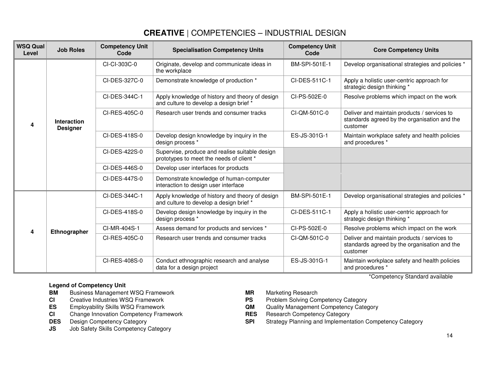| <b>WSQ Qual</b><br>Level | <b>Job Roles</b>                      | <b>Competency Unit</b><br>Code | <b>Specialisation Competency Units</b>                                                     | <b>Competency Unit</b><br>Code | <b>Core Competency Units</b>                                                                            |
|--------------------------|---------------------------------------|--------------------------------|--------------------------------------------------------------------------------------------|--------------------------------|---------------------------------------------------------------------------------------------------------|
| 4                        | <b>Interaction</b><br><b>Designer</b> | CI-CI-303C-0                   | Originate, develop and communicate ideas in<br>the workplace                               | BM-SPI-501E-1                  | Develop organisational strategies and policies *                                                        |
|                          |                                       | CI-DES-327C-0                  | Demonstrate knowledge of production *                                                      | CI-DES-511C-1                  | Apply a holistic user-centric approach for<br>strategic design thinking *                               |
|                          |                                       | CI-DES-344C-1                  | Apply knowledge of history and theory of design<br>and culture to develop a design brief * | CI-PS-502E-0                   | Resolve problems which impact on the work                                                               |
|                          |                                       | CI-RES-405C-0                  | Research user trends and consumer tracks                                                   | CI-QM-501C-0                   | Deliver and maintain products / services to<br>standards agreed by the organisation and the<br>customer |
|                          |                                       | CI-DES-418S-0                  | Develop design knowledge by inquiry in the<br>design process *                             | ES-JS-301G-1                   | Maintain workplace safety and health policies<br>and procedures *                                       |
|                          |                                       | CI-DES-422S-0                  | Supervise, produce and realise suitable design<br>prototypes to meet the needs of client * |                                |                                                                                                         |
|                          |                                       | CI-DES-446S-0                  | Develop user interfaces for products                                                       |                                |                                                                                                         |
|                          |                                       | CI-DES-447S-0                  | Demonstrate knowledge of human-computer<br>interaction to design user interface            |                                |                                                                                                         |
| 4                        | Ethnographer                          | CI-DES-344C-1                  | Apply knowledge of history and theory of design<br>and culture to develop a design brief * | BM-SPI-501E-1                  | Develop organisational strategies and policies *                                                        |
|                          |                                       | CI-DES-418S-0                  | Develop design knowledge by inquiry in the<br>design process *                             | CI-DES-511C-1                  | Apply a holistic user-centric approach for<br>strategic design thinking *                               |
|                          |                                       | CI-MR-404S-1                   | Assess demand for products and services *                                                  | CI-PS-502E-0                   | Resolve problems which impact on the work                                                               |
|                          |                                       | CI-RES-405C-0                  | Research user trends and consumer tracks                                                   | CI-QM-501C-0                   | Deliver and maintain products / services to<br>standards agreed by the organisation and the<br>customer |
|                          |                                       | CI-RES-408S-0                  | Conduct ethnographic research and analyse<br>data for a design project                     | ES-JS-301G-1                   | Maintain workplace safety and health policies<br>and procedures *                                       |

### **Legend of Competency Unit**

- **BM** Business Management WSQ Framework **MR** Marketing Research
- 
- 
- **CI** Change Innovation Competency Framework **RES** Research Competency Category<br> **DES** Design Competency Category **CATEGORY RES RES** Research Competency Category **DES** Design Competency Category
- 
- **JS** Job Safety Skills Competency Category
- 
- **CI** Creative Industries WSQ Framework **PS** Problem Solving Competency Category
- **ES** Employability Skills WSQ Framework **QM** Quality Management Competency Category
	-
- **DES** Design Competency Category **SPI** Strategy Planning and Implementation Competency Category

\*Competency Standard available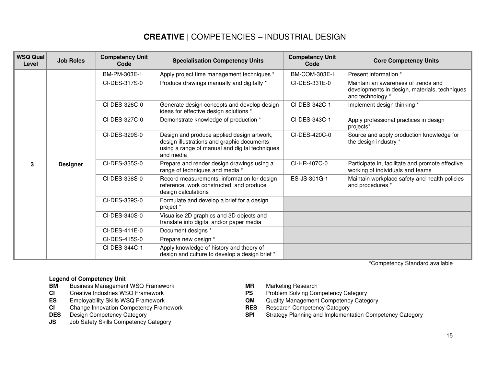| <b>WSQ Qual</b><br>Level | <b>Job Roles</b> | <b>Competency Unit</b><br>Code | <b>Specialisation Competency Units</b>                                                                                                                  | <b>Competency Unit</b><br>Code | <b>Core Competency Units</b>                                                                             |
|--------------------------|------------------|--------------------------------|---------------------------------------------------------------------------------------------------------------------------------------------------------|--------------------------------|----------------------------------------------------------------------------------------------------------|
|                          | <b>Designer</b>  | BM-PM-303E-1                   | Apply project time management techniques *                                                                                                              | BM-COM-303E-1                  | Present information *                                                                                    |
| 3                        |                  | CI-DES-317S-0                  | Produce drawings manually and digitally *                                                                                                               | CI-DES-331E-0                  | Maintain an awareness of trends and<br>developments in design, materials, techniques<br>and technology * |
|                          |                  | CI-DES-326C-0                  | Generate design concepts and develop design<br>ideas for effective design solutions *                                                                   | CI-DES-342C-1                  | Implement design thinking *                                                                              |
|                          |                  | CI-DES-327C-0                  | Demonstrate knowledge of production *                                                                                                                   | CI-DES-343C-1                  | Apply professional practices in design<br>projects*                                                      |
|                          |                  | CI-DES-329S-0                  | Design and produce applied design artwork,<br>design illustrations and graphic documents<br>using a range of manual and digital techniques<br>and media | CI-DES-420C-0                  | Source and apply production knowledge for<br>the design industry *                                       |
|                          |                  | CI-DES-335S-0                  | Prepare and render design drawings using a<br>range of techniques and media *                                                                           | CI-HR-407C-0                   | Participate in, facilitate and promote effective<br>working of individuals and teams                     |
|                          |                  | CI-DES-338S-0                  | Record measurements, information for design<br>reference, work constructed, and produce<br>design calculations                                          | ES-JS-301G-1                   | Maintain workplace safety and health policies<br>and procedures *                                        |
|                          |                  | CI-DES-339S-0                  | Formulate and develop a brief for a design<br>project *                                                                                                 |                                |                                                                                                          |
|                          |                  | CI-DES-340S-0                  | Visualise 2D graphics and 3D objects and<br>translate into digital and/or paper media                                                                   |                                |                                                                                                          |
|                          |                  | $CI-DES-411E-0$                | Document designs *                                                                                                                                      |                                |                                                                                                          |
|                          |                  | CI-DES-415S-0                  | Prepare new design *                                                                                                                                    |                                |                                                                                                          |
|                          |                  | CI-DES-344C-1                  | Apply knowledge of history and theory of<br>design and culture to develop a design brief *                                                              |                                |                                                                                                          |

\*Competency Standard available

### **Legend of Competency Unit**

- **BM** Business Management WSQ Framework **MR** Marketing Research
- 
- 
- **CI** Change Innovation Competency Framework **RES** Research Competency Category<br> **DES** Design Competency Category **CATEGORY RES RES** Brand Competency Category **DES** Design Competency Category
- 
- **JS** Job Safety Skills Competency Category
- 
- **CI** Creative Industries WSQ Framework **PS** Problem Solving Competency Category
- **ES** Employability Skills WSQ Framework **QM** Quality Management Competency Category
	-
- **DES** Design Competency Category **SPI** Strategy Planning and Implementation Competency Category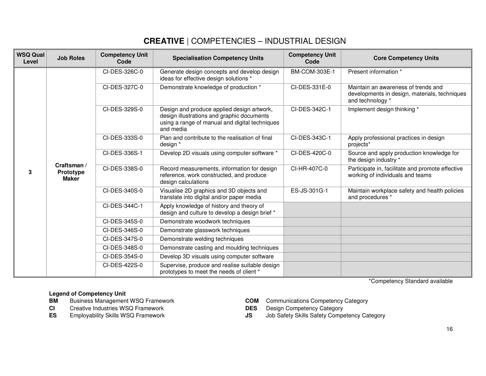| <b>WSQ Qual</b><br>Level | <b>Job Roles</b>                                | <b>Competency Unit</b><br>Code | <b>Specialisation Competency Units</b>                                                                                                                  | <b>Competency Unit</b><br>Code | <b>Core Competency Units</b>                                                                             |
|--------------------------|-------------------------------------------------|--------------------------------|---------------------------------------------------------------------------------------------------------------------------------------------------------|--------------------------------|----------------------------------------------------------------------------------------------------------|
| 3                        | Craftsman /<br><b>Prototype</b><br><b>Maker</b> | CI-DES-326C-0                  | Generate design concepts and develop design<br>ideas for effective design solutions *                                                                   | BM-COM-303E-1                  | Present information *                                                                                    |
|                          |                                                 | CI-DES-327C-0                  | Demonstrate knowledge of production *                                                                                                                   | CI-DES-331E-0                  | Maintain an awareness of trends and<br>developments in design, materials, techniques<br>and technology * |
|                          |                                                 | CI-DES-329S-0                  | Design and produce applied design artwork,<br>design illustrations and graphic documents<br>using a range of manual and digital techniques<br>and media | CI-DES-342C-1                  | Implement design thinking *                                                                              |
|                          |                                                 | CI-DES-333S-0                  | Plan and contribute to the realisation of final<br>design *                                                                                             | CI-DES-343C-1                  | Apply professional practices in design<br>projects*                                                      |
|                          |                                                 | CI-DES-336S-1                  | Develop 2D visuals using computer software *                                                                                                            | CI-DES-420C-0                  | Source and apply production knowledge for<br>the design industry *                                       |
|                          |                                                 | CI-DES-338S-0                  | Record measurements, information for design<br>reference, work constructed, and produce<br>design calculations                                          | CI-HR-407C-0                   | Participate in, facilitate and promote effective<br>working of individuals and teams                     |
|                          |                                                 | CI-DES-340S-0                  | Visualise 2D graphics and 3D objects and<br>translate into digital and/or paper media                                                                   | ES-JS-301G-1                   | Maintain workplace safety and health policies<br>and procedures *                                        |
|                          |                                                 | CI-DES-344C-1                  | Apply knowledge of history and theory of<br>design and culture to develop a design brief *                                                              |                                |                                                                                                          |
|                          |                                                 | CI-DES-345S-0                  | Demonstrate woodwork techniques                                                                                                                         |                                |                                                                                                          |
|                          |                                                 | CI-DES-346S-0                  | Demonstrate glasswork techniques                                                                                                                        |                                |                                                                                                          |
|                          |                                                 | CI-DES-347S-0                  | Demonstrate welding techniques                                                                                                                          |                                |                                                                                                          |
|                          |                                                 | CI-DES-348S-0                  | Demonstrate casting and moulding techniques                                                                                                             |                                |                                                                                                          |
|                          |                                                 | CI-DES-354S-0                  | Develop 3D visuals using computer software                                                                                                              |                                |                                                                                                          |
|                          |                                                 | CI-DES-422S-0                  | Supervise, produce and realise suitable design<br>prototypes to meet the needs of client *                                                              |                                |                                                                                                          |

\*Competency Standard available

# **Legend of Competency Unit<br><b>BM** Business Management

- Business Management WSQ Framework
- **CI** Creative Industries WSQ Framework<br> **CI** Employability Skills WSQ Framework **DES** DIS
- 
- **BRANA Business Competency Category<br><b>DES** Design Competency Category
- 
- **ES** Employability Skills WSQ Framework **JS** Job Safety Skills Safety Competency Category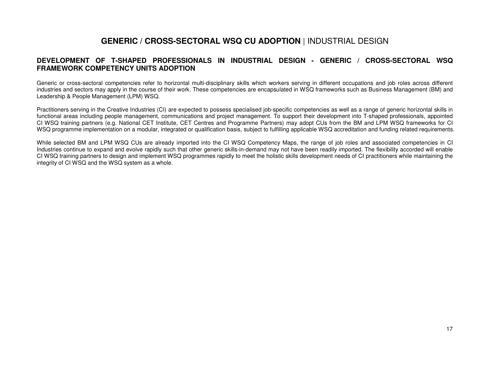## **GENERIC / CROSS-SECTORAL WSQ CU ADOPTION** | INDUSTRIAL DESIGN

### **DEVELOPMENT OF T-SHAPED PROFESSIONALS IN INDUSTRIAL DESIGN - GENERIC / CROSS-SECTORAL WSQ FRAMEWORK COMPETENCY UNITS ADOPTION**

Generic or cross-sectoral competencies refer to horizontal multi-disciplinary skills which workers serving in different occupations and job roles across different industries and sectors may apply in the course of their work. These competencies are encapsulated in WSQ frameworks such as Business Management (BM) and Leadership & People Management (LPM) WSQ.

Practitioners serving in the Creative Industries (CI) are expected to possess specialised job-specific competencies as well as a range of generic horizontal skills in functional areas including people management, communications and project management. To support their development into T-shaped professionals, appointed CI WSQ training partners (e.g. National CET Institute, CET Centres and Programme Partners) may adopt CUs from the BM and LPM WSQ frameworks for CI WSQ programme implementation on a modular, integrated or qualification basis, subject to fulfilling applicable WSQ accreditation and funding related requirements.

While selected BM and LPM WSQ CUs are already imported into the CI WSQ Competency Maps, the range of job roles and associated competencies in CI Industries continue to expand and evolve rapidly such that other generic skills-in-demand may not have been readily imported. The flexibility accorded will enable CI WSQ training partners to design and implement WSQ programmes rapidly to meet the holistic skills development needs of CI practitioners while maintaining the integrity of CI WSQ and the WSQ system as a whole.